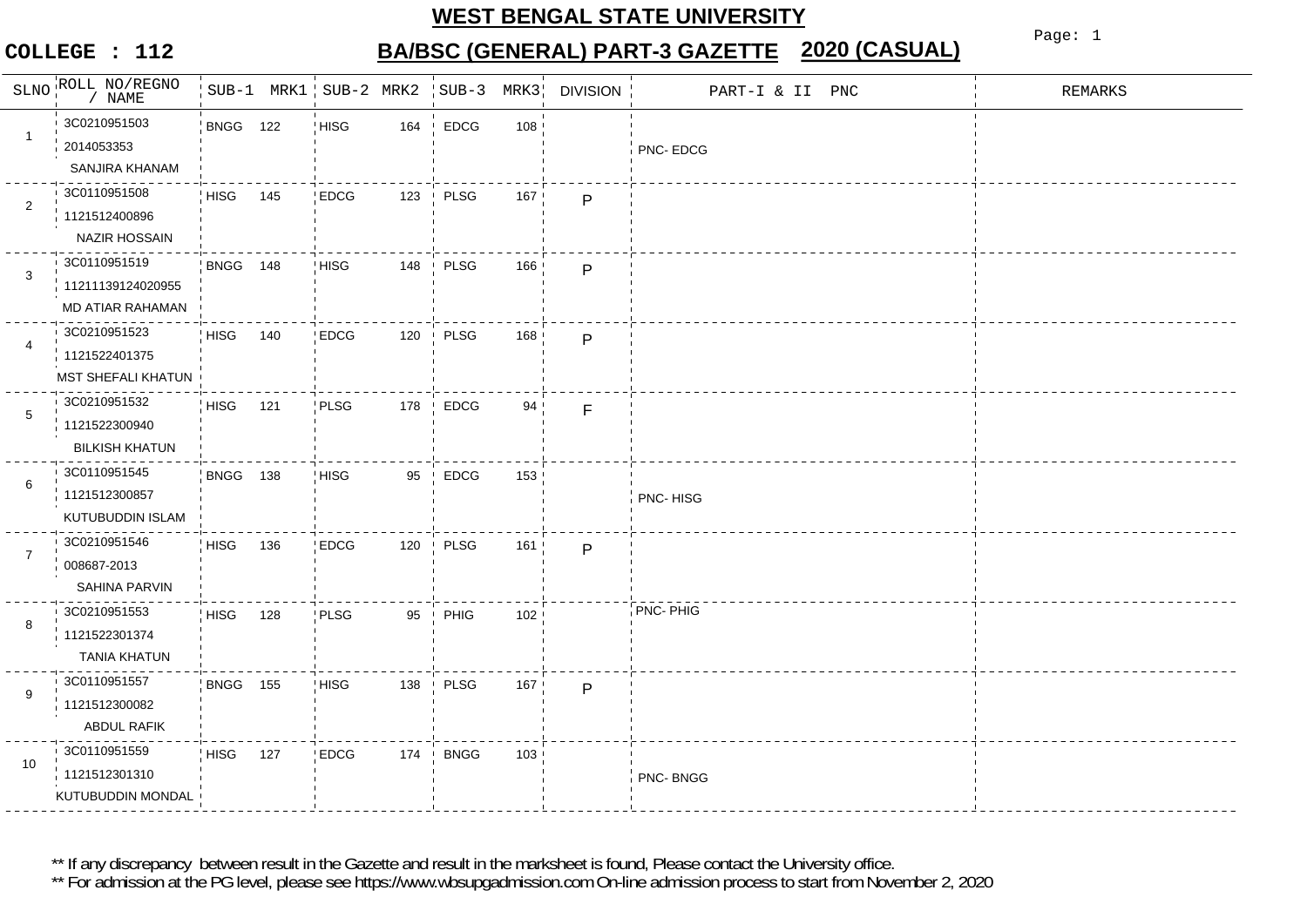### **COLLEGE : 112**

# **BA/BSC (GENERAL) PART-3 GAZETTE 2020 (CASUAL)**

Page: 1

| SLNO           | ROLL NO/REGNO                                          |                 |     | SUB-1 MRK1 SUB-2 MRK2 |                                | $SUB-3$     | MRK3 | <b>DIVISION</b> | PART-I & II PNC | <b>REMARKS</b> |
|----------------|--------------------------------------------------------|-----------------|-----|-----------------------|--------------------------------|-------------|------|-----------------|-----------------|----------------|
| $\mathbf{1}$   | 3C0210951503<br>2014053353<br>SANJIRA KHANAM           | <b>BNGG 122</b> |     | <b>HISG</b>           | 164                            | <b>EDCG</b> | 108  |                 | PNC-EDCG        |                |
| $\overline{2}$ | 3C0110951508<br>1121512400896<br>NAZIR HOSSAIN         | <b>HISG</b>     | 145 | <b>EDCG</b>           | 123                            | PLSG        | 167  | P               |                 |                |
| 3              | 3C0110951519<br>11211139124020955<br>MD ATIAR RAHAMAN  | BNGG 148        |     | <b>HISG</b>           | 148                            | PLSG        | 166  | $\mathsf{P}$    |                 |                |
| 4              | 3C0210951523<br>1121522401375<br>MST SHEFALI KHATUN    | <b>HISG</b>     | 140 | <b>EDCG</b>           | 120                            | PLSG        | 168  | P               |                 |                |
| $\,$ 5 $\,$    | 3C0210951532<br>1121522300940<br><b>BILKISH KHATUN</b> | <b>HISG</b>     | 121 | PLSG                  | 178                            | <b>EDCG</b> | 94   | $\mathsf F$     |                 |                |
| 6              | 3C0110951545<br>1121512300857<br>KUTUBUDDIN ISLAM      | <b>BNGG 138</b> |     | <b>HISG</b>           | 95<br>$\overline{\phantom{a}}$ | <b>EDCG</b> | 153  |                 | PNC-HISG        |                |
| $\overline{7}$ | 3C0210951546<br>008687-2013<br>SAHINA PARVIN           | HISG            | 136 | <b>EDCG</b>           | 120                            | PLSG        | 161  | P               |                 |                |
| 8              | 3C0210951553<br>1121522301374<br><b>TANIA KHATUN</b>   | HISG            | 128 | PLSG                  | 95                             | PHIG        | 102  |                 | PNC- PHIG       |                |
| 9              | 3C0110951557<br>1121512300082<br>ABDUL RAFIK           | <b>BNGG 155</b> |     | <b>HISG</b>           | 138                            | PLSG        | 167  | P               |                 |                |
| 10             | 3C0110951559<br>1121512301310<br>KUTUBUDDIN MONDAL     | <b>HISG</b>     | 127 | <b>EDCG</b>           | 174                            | <b>BNGG</b> | 103  |                 | PNC-BNGG        |                |

\*\* If any discrepancy between result in the Gazette and result in the marksheet is found, Please contact the University office.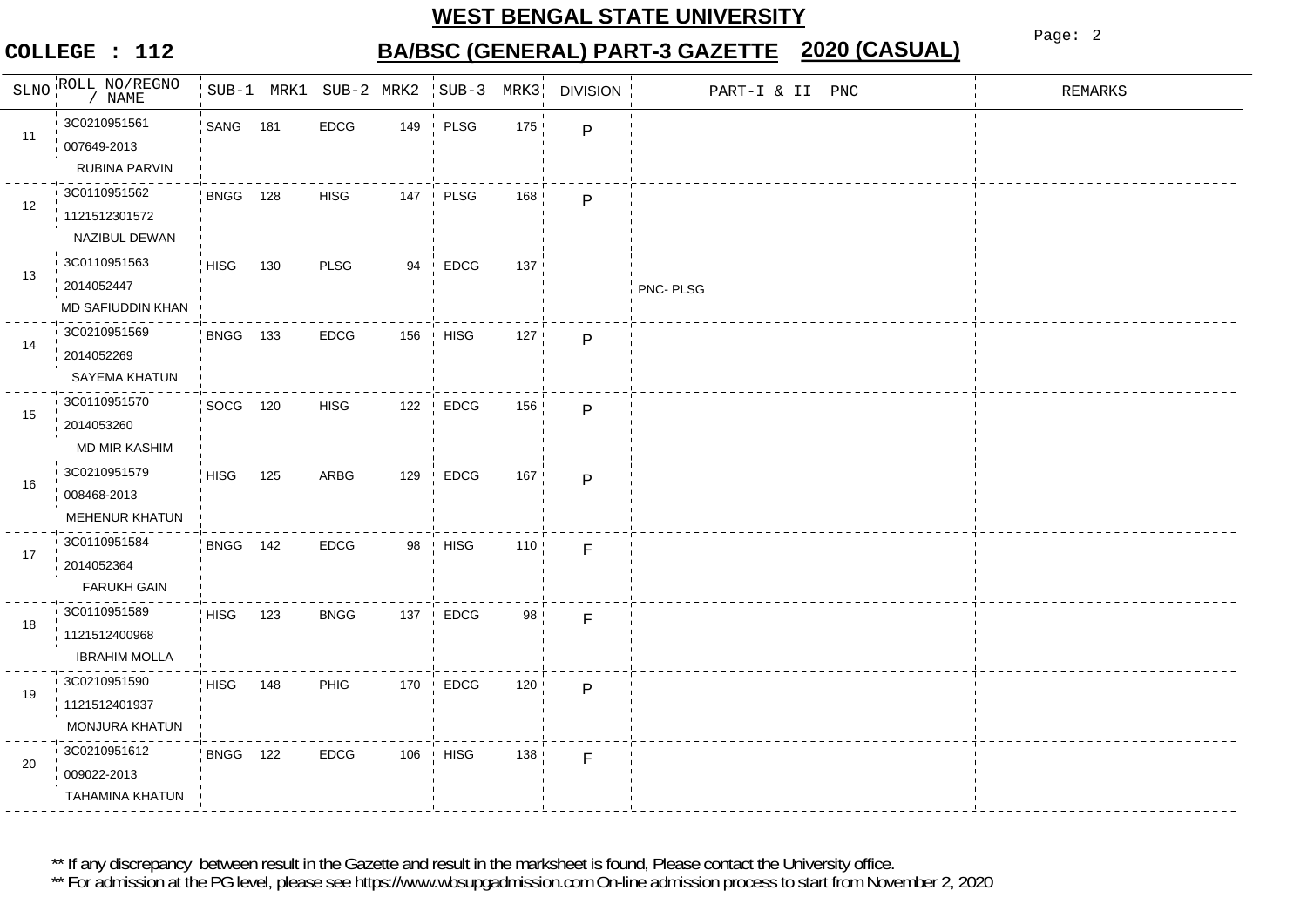### **COLLEGE : 112**

**BA/BSC (GENERAL) PART-3 GAZETTE 2020 (CASUAL)**

Page: 2

|    | SLNO ROLL NO/REGNO<br>NAME                            |                 |     | SUB-1 MRK1 SUB-2 MRK2 |     | $SUB-3$     | MRK3 | <b>DIVISION</b> | PART-I & II PNC | <b>REMARKS</b> |
|----|-------------------------------------------------------|-----------------|-----|-----------------------|-----|-------------|------|-----------------|-----------------|----------------|
| 11 | 3C0210951561<br>007649-2013<br>RUBINA PARVIN          | SANG 181        |     | <b>EDCG</b>           | 149 | PLSG        | 175  | P               |                 |                |
| 12 | 3C0110951562<br>1121512301572<br>NAZIBUL DEWAN        | BNGG 128        |     | <b>HISG</b>           | 147 | PLSG        | 168  | P               |                 |                |
| 13 | 3C0110951563<br>2014052447<br>MD SAFIUDDIN KHAN       | <b>HISG</b>     | 130 | PLSG                  | 94  | <b>EDCG</b> | 137  |                 | PNC-PLSG        |                |
| 14 | 3C0210951569<br>2014052269<br>SAYEMA KHATUN           | <b>BNGG 133</b> |     | <b>EDCG</b>           | 156 | <b>HISG</b> | 127  | P               |                 |                |
| 15 | 3C0110951570<br>2014053260<br>MD MIR KASHIM           | SOCG 120        |     | <b>HISG</b>           | 122 | EDCG        | 156  | P               |                 |                |
| 16 | 3C0210951579<br>008468-2013<br>MEHENUR KHATUN         | <b>HISG</b>     | 125 | ARBG                  | 129 | <b>EDCG</b> | 167  | P               |                 |                |
| 17 | 3C0110951584<br>2014052364<br><b>FARUKH GAIN</b>      | BNGG 142        |     | <b>EDCG</b>           | 98  | <b>HISG</b> | 110  | F               |                 |                |
| 18 | 3C0110951589<br>1121512400968<br><b>IBRAHIM MOLLA</b> | <b>HISG</b>     | 123 | <b>BNGG</b>           | 137 | <b>EDCG</b> | 98   | F               |                 |                |
| 19 | 3C0210951590<br>1121512401937<br>MONJURA KHATUN       | <b>HISG</b>     | 148 | PHIG                  | 170 | <b>EDCG</b> | 120  | P               |                 |                |
| 20 | 3C0210951612<br>009022-2013<br>TAHAMINA KHATUN        | <b>BNGG 122</b> |     | <b>EDCG</b>           | 106 | <b>HISG</b> | 138  | F               |                 |                |

\*\* If any discrepancy between result in the Gazette and result in the marksheet is found, Please contact the University office.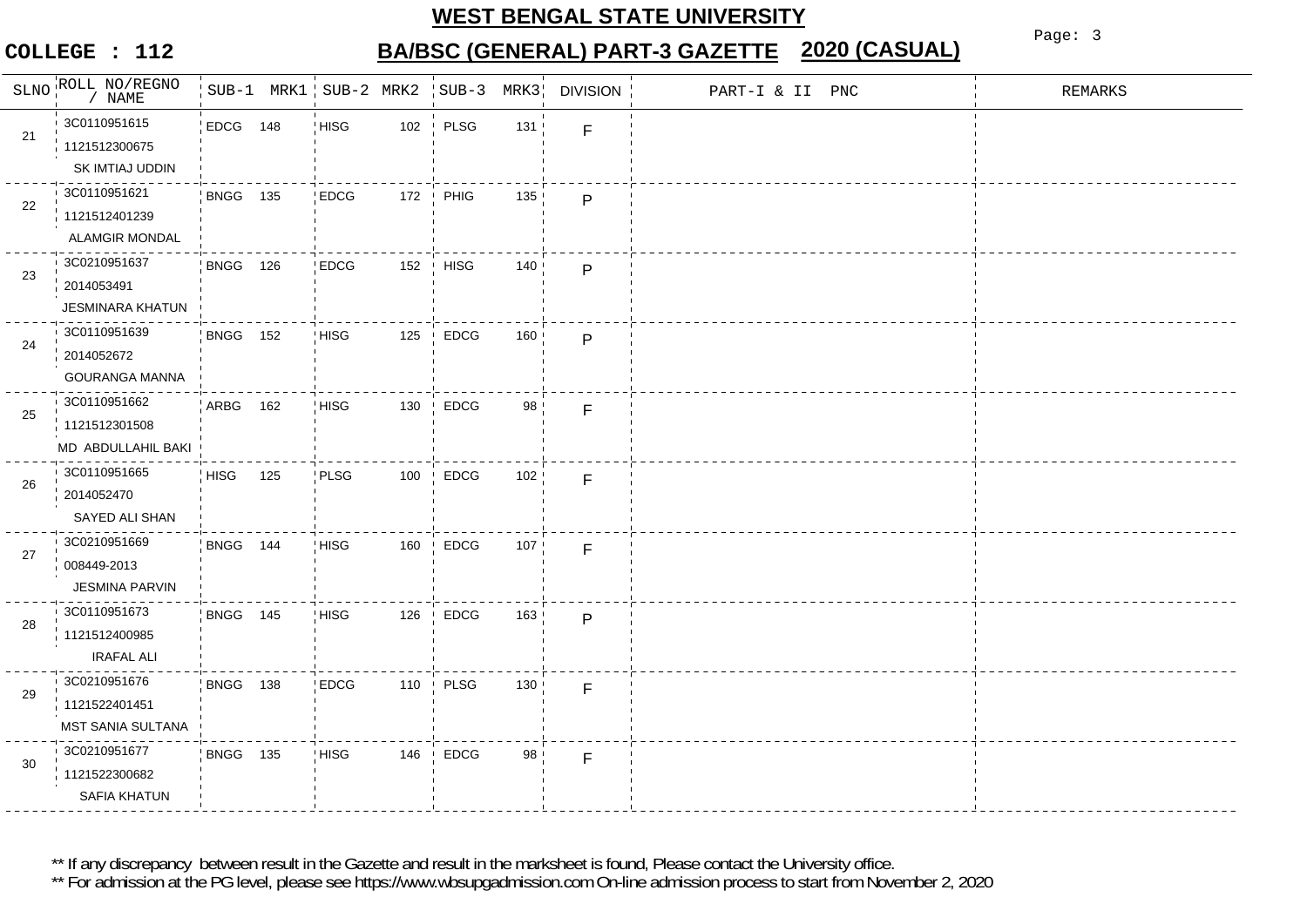### **COLLEGE : 112**

# **BA/BSC (GENERAL) PART-3 GAZETTE 2020 (CASUAL)**

Page: 3

| SLNO | ROLL NO/REGNO                                             |                 |     | SUB-1 MRK1 SUB-2 MRK2 |         | $SUB-3$     | MRK3 | <b>DIVISION</b> | PART-I & II PNC | <b>REMARKS</b> |
|------|-----------------------------------------------------------|-----------------|-----|-----------------------|---------|-------------|------|-----------------|-----------------|----------------|
| 21   | 3C0110951615<br>1121512300675<br>SK IMTIAJ UDDIN          | EDCG 148        |     | <b>HISG</b>           | $102\,$ | PLSG        | 131  | F               |                 |                |
| 22   | 3C0110951621<br>1121512401239<br>ALAMGIR MONDAL           | <b>BNGG 135</b> |     | <b>EDCG</b>           | 172     | PHIG        | 135  | $\mathsf{P}$    |                 |                |
| 23   | 3C0210951637<br>2014053491<br><b>JESMINARA KHATUN</b>     | BNGG 126        |     | <b>EDCG</b>           | 152     | <b>HISG</b> | 140  | $\mathsf{P}$    |                 |                |
| 24   | 3C0110951639<br>2014052672<br>GOURANGA MANNA              | <b>BNGG 152</b> |     | <b>HISG</b>           | 125     | <b>EDCG</b> | 160  | $\mathsf{P}$    |                 |                |
| 25   | 3C0110951662<br>1121512301508<br>MD ABDULLAHIL BAKI       | ARBG 162        |     | <b>HISG</b>           | 130     | <b>EDCG</b> | 98   | F.              |                 |                |
| 26   | 3C0110951665<br>2014052470<br>SAYED ALI SHAN              | <b>HISG</b>     | 125 | PLSG                  | 100     | <b>EDCG</b> | 102  | F               |                 |                |
| 27   | 3C0210951669<br>008449-2013<br><b>JESMINA PARVIN</b>      | BNGG 144        |     | <b>HISG</b>           | 160     | EDCG        | 107  | F               |                 |                |
| 28   | 3C0110951673<br>1121512400985<br><b>IRAFAL ALI</b>        | BNGG 145        |     | <b>HISG</b>           | 126     | <b>EDCG</b> | 163  | P               |                 |                |
| 29   | 3C0210951676<br>1121522401451<br><b>MST SANIA SULTANA</b> | <b>BNGG 138</b> |     | <b>EDCG</b>           | 110     | PLSG        | 130  | F.              |                 |                |
| 30   | 3C0210951677<br>1121522300682<br>SAFIA KHATUN             | <b>BNGG 135</b> |     | <b>HISG</b>           | 146     | <b>EDCG</b> | 98   | F               |                 |                |

\*\* If any discrepancy between result in the Gazette and result in the marksheet is found, Please contact the University office.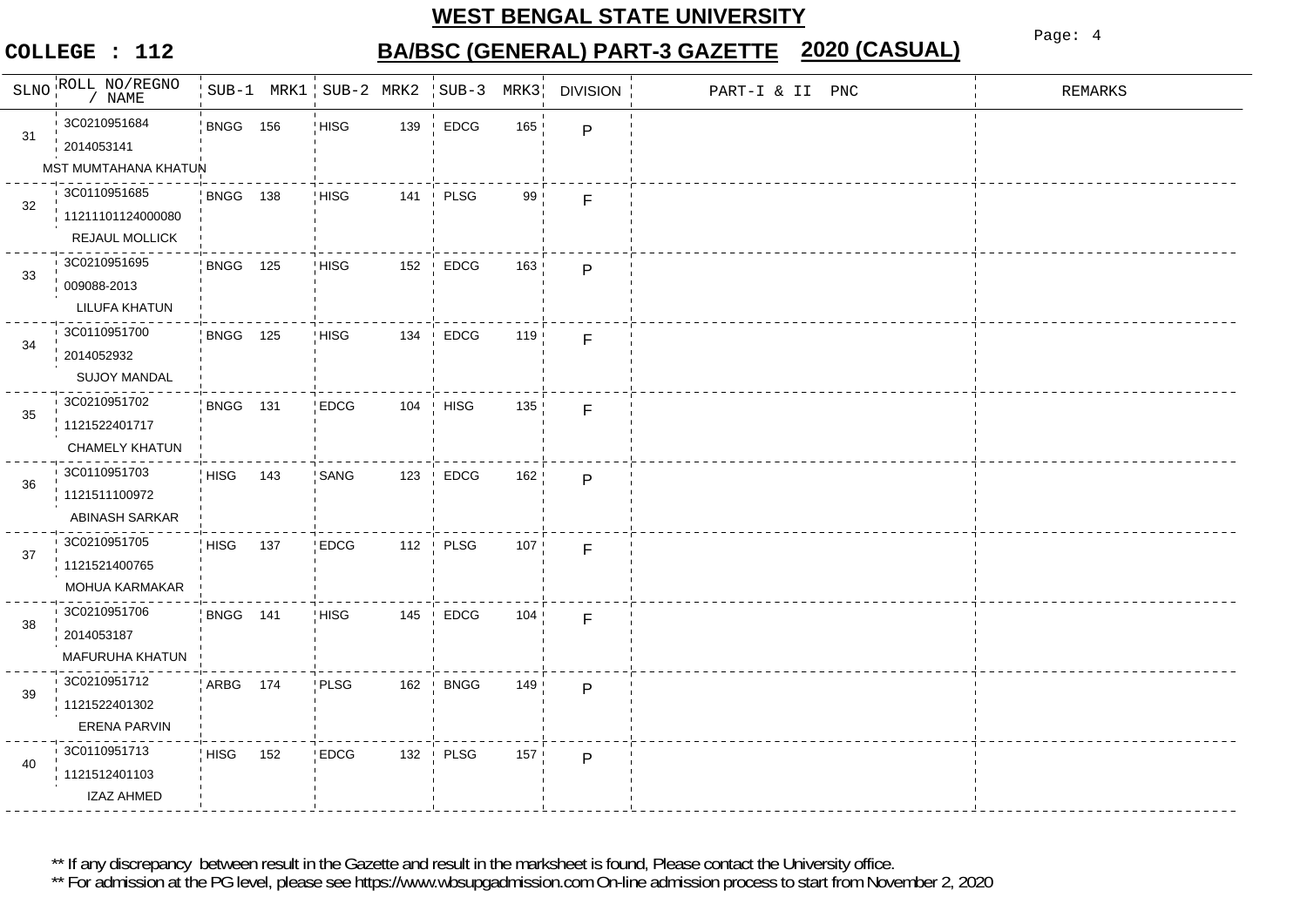### **COLLEGE : 112**

# **BA/BSC (GENERAL) PART-3 GAZETTE 2020 (CASUAL)**

Page: 4

|    | SLNO ROLL NO/REGNO<br>NAME                          |                 |     | SUB-1 MRK1 SUB-2 MRK2 SUB-3 |                                 |                             | MRK3 | <b>DIVISION</b> | PART-I & II PNC | REMARKS |
|----|-----------------------------------------------------|-----------------|-----|-----------------------------|---------------------------------|-----------------------------|------|-----------------|-----------------|---------|
| 31 | 3C0210951684<br>2014053141<br>MST MUMTAHANA KHATUN  | <b>BNGG 156</b> |     | <b>HISG</b>                 | 139                             | <b>EDCG</b>                 | 165  | P               |                 |         |
| 32 | 3C0110951685<br>11211101124000080<br>REJAUL MOLLICK | <b>BNGG 138</b> |     | <b>HISG</b>                 | 141                             | PLSG<br>$\mathbf{I}$        | 99   | F               |                 |         |
| 33 | 3C0210951695<br>009088-2013<br><b>LILUFA KHATUN</b> | <b>BNGG 125</b> |     | HISG                        | 152                             | <b>EDCG</b>                 | 163  | P               |                 |         |
| 34 | 3C0110951700<br>2014052932<br><b>SUJOY MANDAL</b>   | <b>BNGG 125</b> |     | <b>HISG</b>                 | 134                             | <b>EDCG</b><br>$\mathbf{I}$ | 119  | F               |                 |         |
| 35 | 3C0210951702<br>1121522401717<br>CHAMELY KHATUN     | <b>BNGG 131</b> |     | <b>EDCG</b>                 |                                 | 104 HISG                    | 135  | F               |                 |         |
| 36 | 3C0110951703<br>1121511100972<br>ABINASH SARKAR     | HISG            | 143 | SANG                        | 123                             | <b>EDCG</b>                 | 162  | P               |                 |         |
| 37 | 3C0210951705<br>1121521400765<br>MOHUA KARMAKAR     | <b>HISG</b>     | 137 | <b>EDCG</b>                 | 112<br>$\overline{\phantom{a}}$ | PLSG                        | 107  | F               |                 |         |
| 38 | 3C0210951706<br>2014053187<br>MAFURUHA KHATUN       | BNGG 141        |     | <b>HISG</b>                 | 145                             | <b>EDCG</b>                 | 104  | F               |                 |         |
| 39 | 3C0210951712<br>1121522401302<br>ERENA PARVIN       | ARBG 174        |     | PLSG                        | 162                             | <b>BNGG</b><br>$\mathbf{I}$ | 149  | P               |                 |         |
| 40 | 3C0110951713<br>1121512401103<br><b>IZAZ AHMED</b>  | HISG            | 152 | <b>EDCG</b>                 | 132                             | PLSG                        | 157  | P               |                 |         |

\*\* If any discrepancy between result in the Gazette and result in the marksheet is found, Please contact the University office.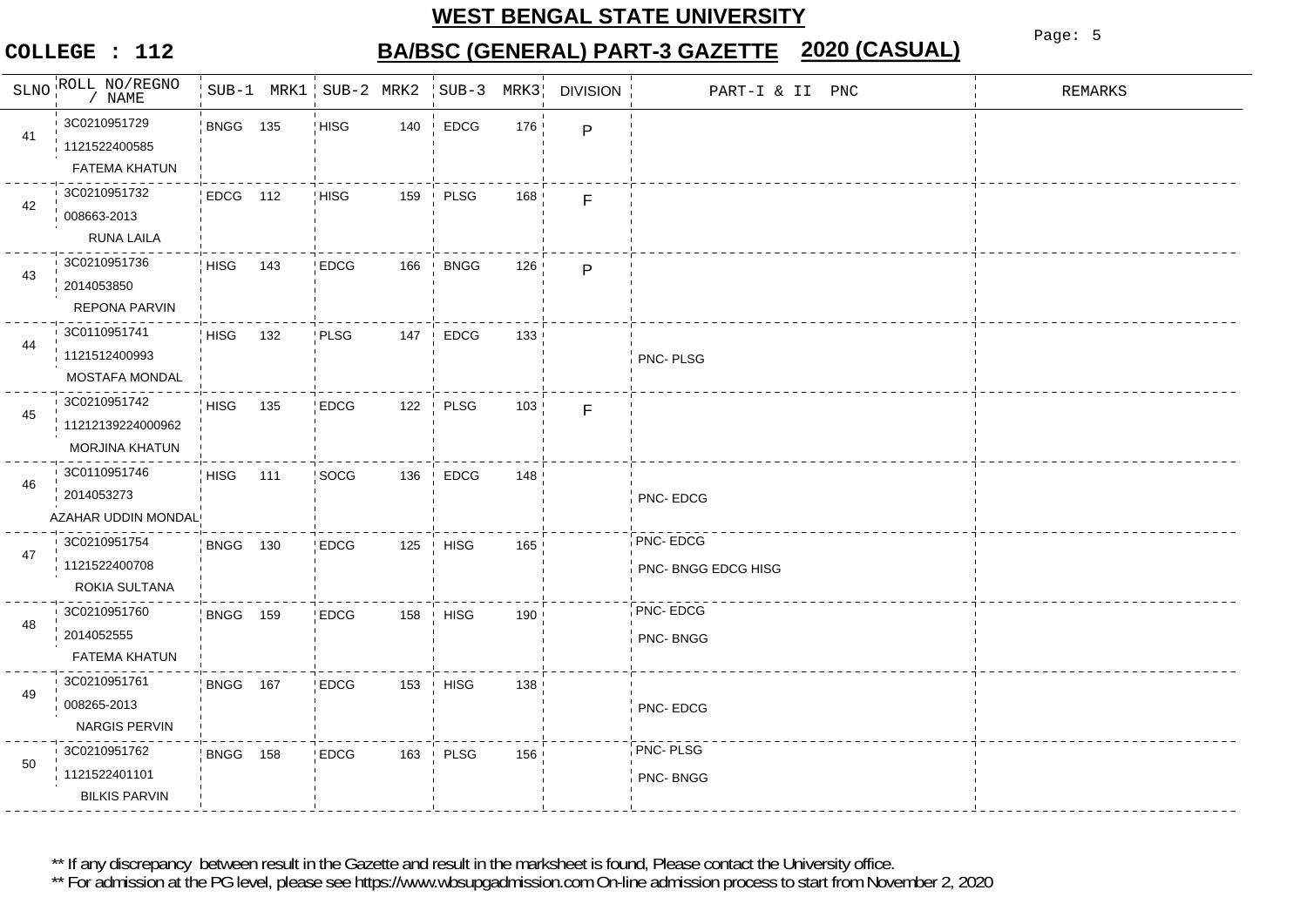### **COLLEGE : 112**

# **BA/BSC (GENERAL) PART-3 GAZETTE 2020 (CASUAL)**

Page: 5

| SLNO | ROLL NO/REGNO<br>NAME                                      |                 |     | SUB-1 MRK1 SUB-2 MRK2 |     | $SUB-3$     | MRK3 | <b>DIVISION</b> | PART-I & II PNC                 | REMARKS |
|------|------------------------------------------------------------|-----------------|-----|-----------------------|-----|-------------|------|-----------------|---------------------------------|---------|
| 41   | 3C0210951729<br>1121522400585<br><b>FATEMA KHATUN</b>      | <b>BNGG 135</b> |     | <b>HISG</b>           | 140 | <b>EDCG</b> | 176  | $\mathsf{P}$    |                                 |         |
| 42   | 3C0210951732<br>008663-2013<br><b>RUNA LAILA</b>           | EDCG 112        |     | HISG                  | 159 | PLSG        | 168  | F               |                                 |         |
| 43   | 3C0210951736<br>2014053850<br>REPONA PARVIN                | <b>HISG</b>     | 143 | <b>EDCG</b>           | 166 | <b>BNGG</b> | 126  | $\mathsf{P}$    |                                 |         |
| 44   | 3C0110951741<br>1121512400993<br><b>MOSTAFA MONDAL</b>     | <b>HISG</b>     | 132 | PLSG                  | 147 | <b>EDCG</b> | 133  |                 | PNC-PLSG                        |         |
| 45   | 3C0210951742<br>11212139224000962<br><b>MORJINA KHATUN</b> | <b>HISG</b>     | 135 | <b>EDCG</b>           | 122 | PLSG        | 103  | F               |                                 |         |
| 46   | 3C0110951746<br>2014053273<br>AZAHAR UDDIN MONDAL!         | HISG            | 111 | SOCG                  | 136 | <b>EDCG</b> | 148  |                 | PNC-EDCG                        |         |
| 47   | 3C0210951754<br>1121522400708<br>ROKIA SULTANA             | <b>BNGG 130</b> |     | <b>EDCG</b>           | 125 | <b>HISG</b> | 165  |                 | PNC-EDCG<br>PNC- BNGG EDCG HISG |         |
| 48   | 3C0210951760<br>2014052555<br><b>FATEMA KHATUN</b>         | <b>BNGG 159</b> |     | <b>EDCG</b>           | 158 | <b>HISG</b> | 190  |                 | PNC-EDCG<br>PNC-BNGG            |         |
| 49   | 3C0210951761<br>008265-2013<br>NARGIS PERVIN               | BNGG 167        |     | <b>EDCG</b>           | 153 | <b>HISG</b> | 138  |                 | PNC-EDCG                        |         |
| 50   | 3C0210951762<br>1121522401101<br><b>BILKIS PARVIN</b>      | <b>BNGG 158</b> |     | <b>EDCG</b>           | 163 | PLSG        | 156  |                 | PNC-PLSG<br>PNC-BNGG            |         |

\*\* If any discrepancy between result in the Gazette and result in the marksheet is found, Please contact the University office.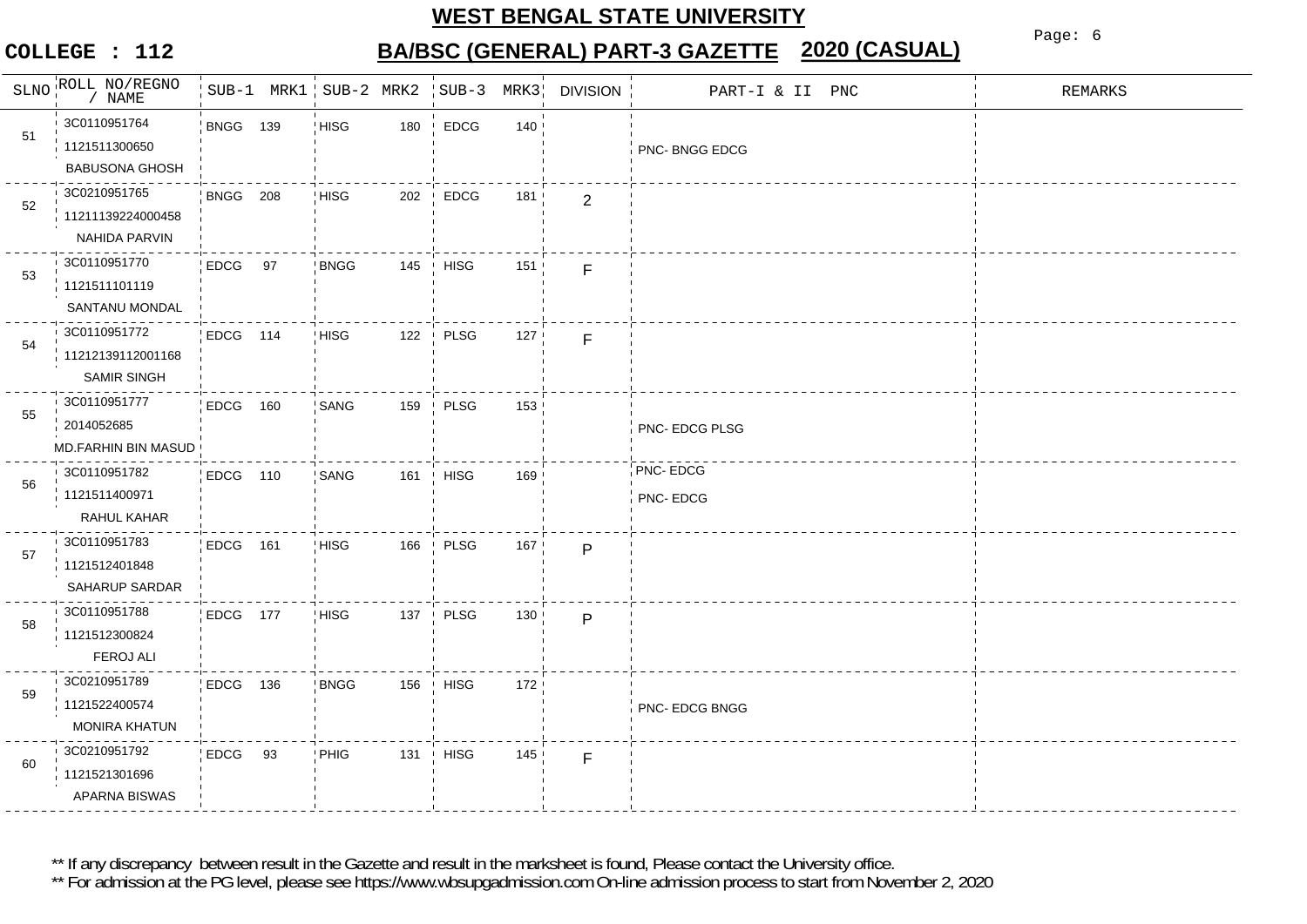### **COLLEGE : 112**

# **BA/BSC (GENERAL) PART-3 GAZETTE 2020 (CASUAL)**

Page: 6

| SLNO | ROLL NO/REGNO<br>NAME                                   |                 | $SUB-1$ MRK1   $SUB-2$ MRK2 |     | $SUB-3$     | MRK3 | <b>DIVISION</b> | PART-I & II PNC      | <b>REMARKS</b> |
|------|---------------------------------------------------------|-----------------|-----------------------------|-----|-------------|------|-----------------|----------------------|----------------|
| 51   | 3C0110951764<br>1121511300650<br><b>BABUSONA GHOSH</b>  | <b>BNGG 139</b> | <b>HISG</b>                 | 180 | EDCG        | 140  |                 | PNC-BNGG EDCG        |                |
| 52   | 3C0210951765<br>11211139224000458<br>NAHIDA PARVIN      | BNGG 208        | <b>HISG</b>                 | 202 | <b>EDCG</b> | 181  | $\overline{2}$  |                      |                |
| 53   | 3C0110951770<br>1121511101119<br>SANTANU MONDAL         | EDCG 97         | <b>BNGG</b>                 | 145 | <b>HISG</b> | 151  | F               |                      |                |
| 54   | 3C0110951772<br>11212139112001168<br><b>SAMIR SINGH</b> | EDCG 114        | <b>HISG</b>                 | 122 | PLSG        | 127  | F               |                      |                |
| 55   | 3C0110951777<br>2014052685<br>MD.FARHIN BIN MASUD       | EDCG 160        | SANG                        | 159 | <b>PLSG</b> | 153  |                 | PNC- EDCG PLSG       |                |
| 56   | 3C0110951782<br>1121511400971<br>RAHUL KAHAR            | EDCG 110        | SANG                        | 161 | <b>HISG</b> | 169  |                 | PNC-EDCG<br>PNC-EDCG |                |
| 57   | 3C0110951783<br>1121512401848<br>SAHARUP SARDAR         | EDCG 161        | HISG                        | 166 | <b>PLSG</b> | 167  | $\mathsf{P}$    |                      |                |
| 58   | 3C0110951788<br>1121512300824<br><b>FEROJ ALI</b>       | EDCG 177        | <b>HISG</b>                 | 137 | PLSG        | 130  | $\mathsf{P}$    |                      |                |
| 59   | 3C0210951789<br>1121522400574<br><b>MONIRA KHATUN</b>   | EDCG 136        | <b>BNGG</b>                 | 156 | <b>HISG</b> | 172  |                 | PNC- EDCG BNGG       |                |
| 60   | 3C0210951792<br>1121521301696<br>APARNA BISWAS          | EDCG 93         | PHIG                        | 131 | <b>HISG</b> | 145  | F               |                      |                |

\*\* If any discrepancy between result in the Gazette and result in the marksheet is found, Please contact the University office.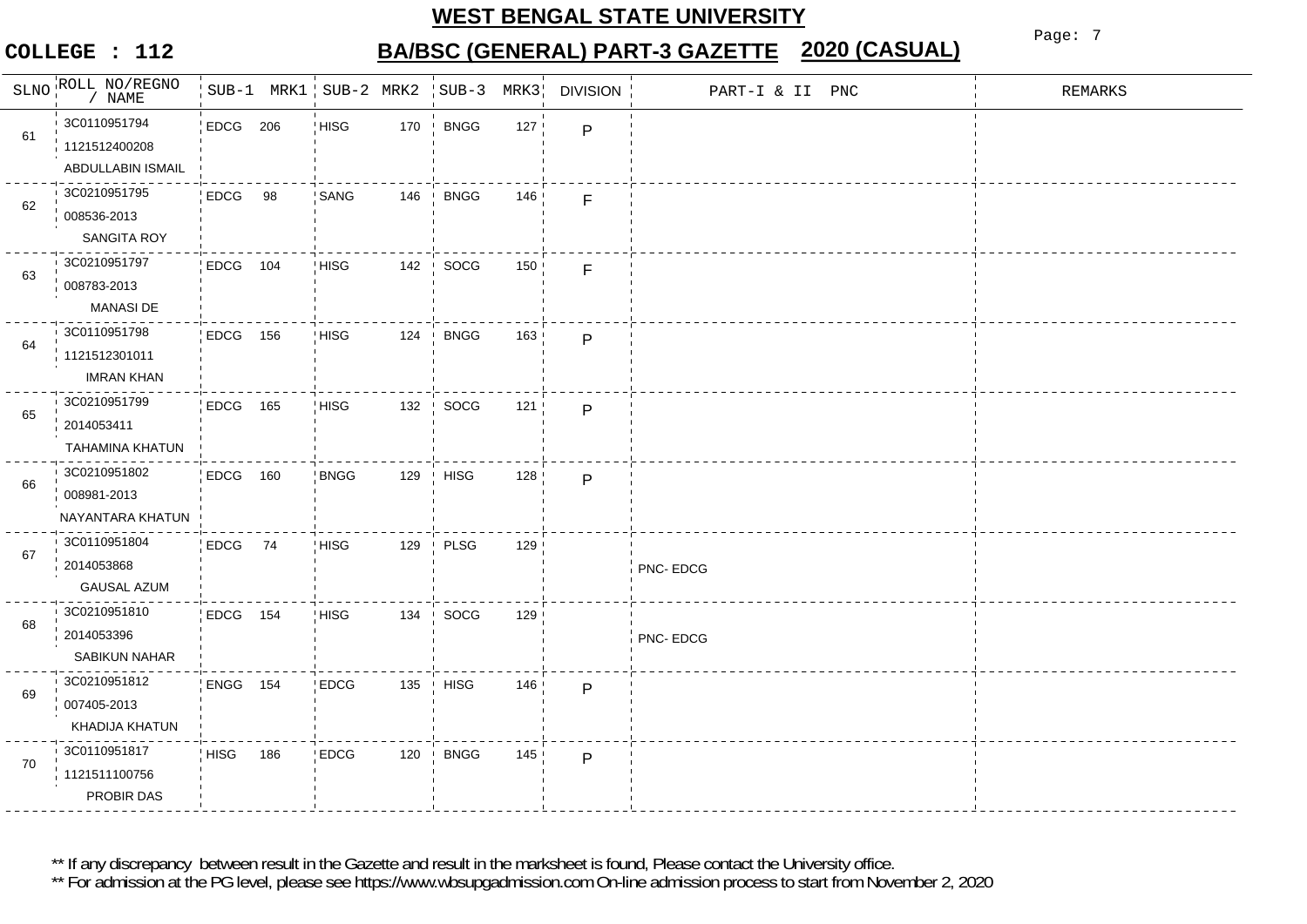### **COLLEGE : 112**

# **BA/BSC (GENERAL) PART-3 GAZETTE 2020 (CASUAL)**

Page: 7

|    | SLNO ROLL NO/REGNO<br>$/$ NAME                     |             |     | $SUB-1$ MRK1   $SUB-2$ MRK2 |     | $SUB-3$          | MRK3 | <b>DIVISION</b> | PART-I & II PNC | <b>REMARKS</b> |
|----|----------------------------------------------------|-------------|-----|-----------------------------|-----|------------------|------|-----------------|-----------------|----------------|
| 61 | 3C0110951794<br>1121512400208<br>ABDULLABIN ISMAIL | EDCG 206    |     | <b>HISG</b>                 | 170 | <b>BNGG</b>      | 127  | P               |                 |                |
| 62 | 3C0210951795<br>008536-2013<br><b>SANGITA ROY</b>  | EDCG 98     |     | SANG                        | 146 | <b>BNGG</b>      | 146  | F               |                 |                |
| 63 | 3C0210951797<br>008783-2013<br><b>MANASI DE</b>    | EDCG 104    |     | <b>HISG</b>                 | 142 | SOCG             | 150  | F               |                 |                |
| 64 | 3C0110951798<br>1121512301011<br><b>IMRAN KHAN</b> | EDCG 156    |     | <b>HISG</b>                 | 124 | <b>BNGG</b>      | 163  | $\mathsf{P}$    |                 |                |
| 65 | 3C0210951799<br>2014053411<br>TAHAMINA KHATUN      | EDCG 165    |     | <b>HISG</b>                 | 132 | SOCG             | 121  | P               |                 |                |
| 66 | 3C0210951802<br>008981-2013<br>NAYANTARA KHATUN    | EDCG 160    |     | <b>BNGG</b>                 | 129 | <b>HISG</b>      | 128  | $\mathsf{P}$    |                 |                |
| 67 | 3C0110951804<br>2014053868<br><b>GAUSAL AZUM</b>   | EDCG 74     |     | <b>HISG</b>                 | 129 | PLSG             | 129  |                 | PNC-EDCG        |                |
| 68 | 3C0210951810<br>2014053396<br><b>SABIKUN NAHAR</b> | EDCG 154    |     | <b>HISG</b>                 | 134 | SOCG             | 129  |                 | PNC-EDCG        |                |
| 69 | 3C0210951812<br>007405-2013<br>KHADIJA KHATUN      | ENGG 154    |     | EDCG                        | 135 | $\parallel$ HISG | 146  | P               |                 |                |
| 70 | 3C0110951817<br>1121511100756<br>PROBIR DAS        | <b>HISG</b> | 186 | <b>EDCG</b>                 | 120 | <b>BNGG</b>      | 145  | $\mathsf{P}$    |                 |                |

\*\* If any discrepancy between result in the Gazette and result in the marksheet is found, Please contact the University office.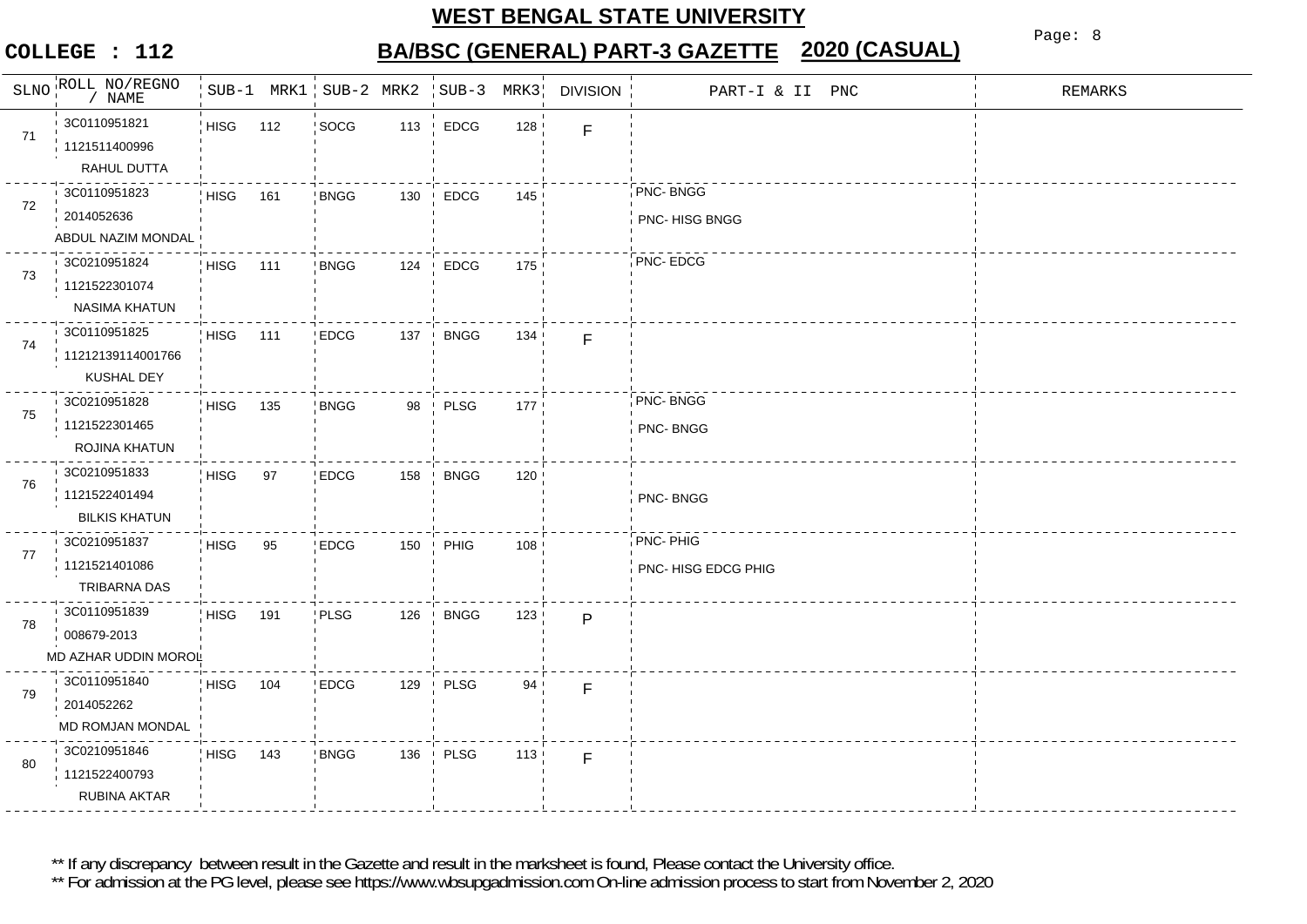### **COLLEGE : 112**

# **BA/BSC (GENERAL) PART-3 GAZETTE 2020 (CASUAL)**

Page: 8

|    | SLNO ROLL NO/REGNO<br>/ $\texttt{NAME}$               |             |     | SUB-1 MRK1 SUB-2 MRK2 SUB-3 |            |                             | MRK3            | <b>DIVISION</b> | PART-I & II PNC                 | <b>REMARKS</b> |
|----|-------------------------------------------------------|-------------|-----|-----------------------------|------------|-----------------------------|-----------------|-----------------|---------------------------------|----------------|
| 71 | 3C0110951821<br>1121511400996<br>RAHUL DUTTA          | HISG 112    |     | SOCG                        | 113        | EDCG<br>$\mathbf{I}$        | 128             | F               |                                 |                |
| 72 | 3C0110951823<br>2014052636<br>ABDUL NAZIM MONDAL      | <b>HISG</b> | 161 | <b>BNGG</b>                 | 130        | $\frac{1}{2}$ EDCG          | 145             |                 | PNC-BNGG<br>PNC-HISG BNGG       |                |
| 73 | 3C0210951824<br>1121522301074<br>NASIMA KHATUN        | <b>HISG</b> | 111 | <b>BNGG</b>                 | 124        | <b>EDCG</b>                 | 175             |                 | PNC-EDCG                        |                |
| 74 | 3C0110951825<br>11212139114001766<br>KUSHAL DEY       | <b>HISG</b> | 111 | <b>EDCG</b>                 | 137<br>- 1 | <b>BNGG</b>                 | 134             | $\mathsf F$     |                                 |                |
| 75 | 3C0210951828<br>1121522301465<br>ROJINA KHATUN        | HISG        | 135 | <b>BNGG</b>                 | 98         | PLSG                        | 177             |                 | PNC-BNGG<br>PNC-BNGG            |                |
| 76 | 3C0210951833<br>1121522401494<br><b>BILKIS KHATUN</b> | <b>HISG</b> | 97  | <b>EDCG</b>                 | 158        | <b>BNGG</b><br>$\mathbf{I}$ | 120             |                 | PNC-BNGG                        |                |
| 77 | 3C0210951837<br>1121521401086<br>TRIBARNA DAS         | <b>HISG</b> | 95  | <b>EDCG</b>                 | 150        | PHIG                        | 108             |                 | PNC-PHIG<br>PNC- HISG EDCG PHIG |                |
| 78 | 3C0110951839<br>008679-2013<br>MD AZHAR UDDIN MOROL   | <b>HISG</b> | 191 | PLSG                        | 126        | <b>BNGG</b>                 | 123             | $\mathsf{P}$    |                                 |                |
| 79 | 3C0110951840<br>2014052262<br>MD ROMJAN MONDAL        | <b>HISG</b> | 104 | <b>EDCG</b>                 | 129        | PLSG                        | 94 <sup>1</sup> | F               |                                 |                |
| 80 | 3C0210951846<br>1121522400793<br>RUBINA AKTAR         | <b>HISG</b> | 143 | <b>BNGG</b>                 | 136        | PLSG<br>$\mathbf{I}$        | 113             | F               |                                 |                |

\*\* If any discrepancy between result in the Gazette and result in the marksheet is found, Please contact the University office.